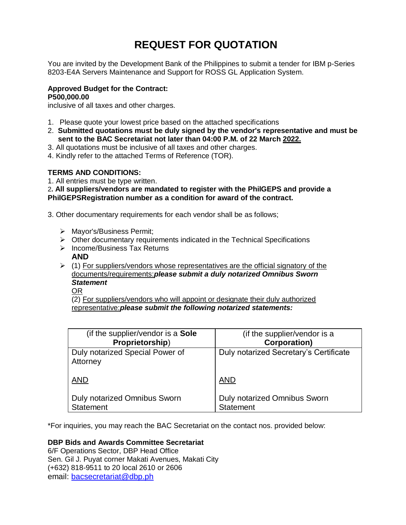# **REQUEST FOR QUOTATION**

You are invited by the Development Bank of the Philippines to submit a tender for IBM p-Series 8203-E4A Servers Maintenance and Support for ROSS GL Application System.

# **Approved Budget for the Contract: P500,000.00**

inclusive of all taxes and other charges.

- 1. Please quote your lowest price based on the attached specifications
- 2. **Submitted quotations must be duly signed by the vendor's representative and must be sent to the BAC Secretariat not later than 04:00 P.M. of 22 March 2022.**
- 3. All quotations must be inclusive of all taxes and other charges.
- 4. Kindly refer to the attached Terms of Reference (TOR).

# **TERMS AND CONDITIONS:**

1. All entries must be type written.

2**. All suppliers/vendors are mandated to register with the PhilGEPS and provide a PhilGEPSRegistration number as a condition for award of the contract.**

3. Other documentary requirements for each vendor shall be as follows;

- > Mayor's/Business Permit;
- $\triangleright$  Other documentary requirements indicated in the Technical Specifications
- $\triangleright$  Income/Business Tax Returns
	- **AND**
- $(1)$  For suppliers/vendors whose representatives are the official signatory of the documents/requirements:*please submit a duly notarized Omnibus Sworn Statement*
	- OR

(2) For suppliers/vendors who will appoint or designate their duly authorized representative:*please submit the following notarized statements:*

| (if the supplier/vendor is a Sole           | (if the supplier/vendor is a           |
|---------------------------------------------|----------------------------------------|
| Proprietorship)                             | <b>Corporation)</b>                    |
| Duly notarized Special Power of<br>Attorney | Duly notarized Secretary's Certificate |
| <b>AND</b>                                  | <b>AND</b>                             |
| <b>Duly notarized Omnibus Sworn</b>         | <b>Duly notarized Omnibus Sworn</b>    |
| <b>Statement</b>                            | <b>Statement</b>                       |

\*For inquiries, you may reach the BAC Secretariat on the contact nos. provided below:

# **DBP Bids and Awards Committee Secretariat**

6/F Operations Sector, DBP Head Office Sen. Gil J. Puyat corner Makati Avenues, Makati City (+632) 818-9511 to 20 local 2610 or 2606 email: [bacsecretariat@dbp.ph](mailto:bacsecretariat@dbp.ph)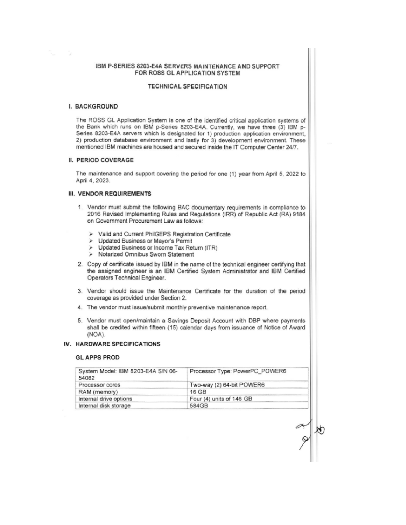#### IBM P-SERIES 8203-E4A SERVERS MAINTENANCE AND SUPPORT FOR ROSS GL APPLICATION SYSTEM

#### **TECHNICAL SPECIFICATION**

#### I. BACKGROUND

- 5

The ROSS GL Application System is one of the identified critical application systems of the Bank which runs on IBM p-Series 8203-E4A. Currently, we have three (3) IBM p-Series 8203-E4A servers which is designated for 1) production application environment, 2) production database environment and lastly for 3) development environment. These mentioned IBM machines are housed and secured inside the IT Computer Center 24/7.

#### **II. PERIOD COVERAGE**

The maintenance and support covering the period for one (1) year from April 5, 2022 to April 4, 2023.

#### **III. VENDOR REQUIREMENTS**

- 1. Vendor must submit the following BAC documentary requirements in compliance to 2016 Revised Implementing Rules and Regulations (IRR) of Republic Act (RA) 9184 on Government Procurement Law as follows:
	- > Valid and Current PhilGEPS Registration Certificate
	- Updated Business or Mayor's Permit  $\geq$
	- Updated Business or Income Tax Return (ITR)
	- Notarized Omnibus Sworn Statement
- 2. Copy of certificate issued by IBM in the name of the technical engineer certifying that the assigned engineer is an IBM Certified System Administrator and IBM Certified Operators Technical Engineer.
- 3. Vendor should issue the Maintenance Certificate for the duration of the period coverage as provided under Section 2.
- 4. The vendor must issue/submit monthly preventive maintenance report.
- 5. Vendor must open/maintain a Savings Deposit Account with DBP where payments shall be credited within fifteen (15) calendar days from issuance of Notice of Award (NOA).

# **IV. HARDWARE SPECIFICATIONS**

#### **GL APPS PROD**

| System Model: IBM 8203-E4A S/N 06-<br>54082 | Processor Type: PowerPC_POWER6 |
|---------------------------------------------|--------------------------------|
| Processor cores                             | Two-way (2) 64-bit POWER6      |
| RAM (memory)                                | 16 GB                          |
| Internal drive options                      | Four (4) units of 146 GB       |
| Internal disk storage                       | 584GB                          |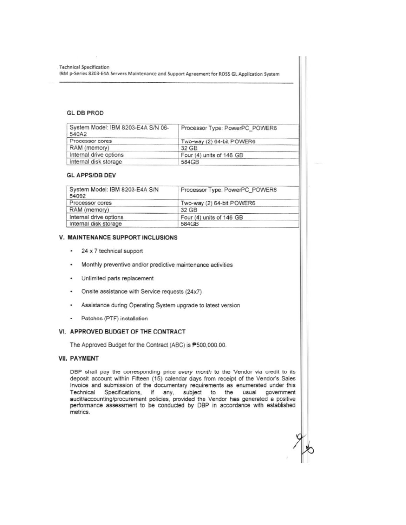**Technical Specification** IBM p-Series 8203-E4A Servers Maintenance and Support Agreement for ROSS GL Application System

# **GL DB PROD**

| System Model: IBM 8203-E4A S/N 06-<br>540A2 | Processor Type: PowerPC_POWER6 |
|---------------------------------------------|--------------------------------|
| Processor cores                             | Two-way (2) 64-bit POWER6      |
| RAM (memory)                                | 32 GB                          |
| Internal drive options                      | Four (4) units of 146 GB       |
| Internal disk storage                       | 584GB                          |

#### **GL APPS/DB DEV**

| System Model: IBM 8203-E4A S/N<br>54092 | Processor Type: PowerPC_POWER6 |
|-----------------------------------------|--------------------------------|
| Processor cores                         | Two-way (2) 64-bit POWER6      |
| RAM (memory)                            | 32 GB                          |
| Internal drive options                  | Four (4) units of 146 GB       |
| Internal disk storage                   | 584GB                          |

## V. MAINTENANCE SUPPORT INCLUSIONS

- $\ddot{\phantom{0}}$ 24 x 7 technical support
- Monthly preventive and/or predictive maintenance activities ٠
- Unlimited parts replacement ٠
- Onsite assistance with Service requests (24x7) ٠
- Assistance during Operating System upgrade to latest version ٠
- Patches (PTF) installation

## VI. APPROVED BUDGET OF THE CONTRACT

The Approved Budget for the Contract (ABC) is P500,000.00.

### **VII. PAYMENT**

DBP shall pay the corresponding price every month to the Vendor via credit to its deposit account within Fifteen (15) calendar days from receipt of the Vendor's Sales Invoice and submission of the documentary requirements as enumerated under this Technical Specifications, if any, subject to the usual government<br>audit/accounting/procurement policies, provided the Vendor has generated a positive government performance assessment to be conducted by DBP in accordance with established metrics.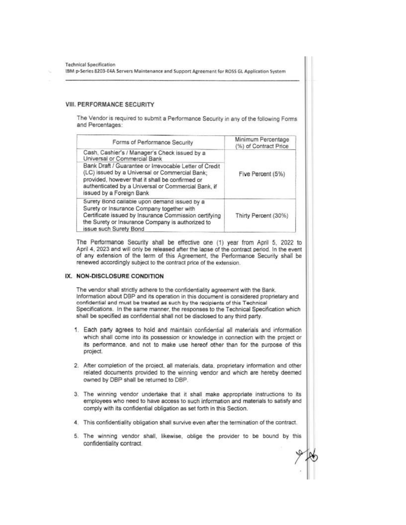**Technical Specification** 

IBM p-Series 8203-E4A Servers Maintenance and Support Agreement for ROSS GL Application System

#### VIII. PERFORMANCE SECURITY

The Vendor is required to submit a Performance Security in any of the following Forms and Percentages:

| Forms of Performance Security                                                                                                                                                                                                                  | Minimum Percentage<br>(%) of Contract Price |  |
|------------------------------------------------------------------------------------------------------------------------------------------------------------------------------------------------------------------------------------------------|---------------------------------------------|--|
| Cash, Cashier's / Manager's Check issued by a<br>Universal or Commercial Bank                                                                                                                                                                  |                                             |  |
| Bank Draft / Guarantee or Irrevocable Letter of Credit<br>(LC) issued by a Universal or Commercial Bank;<br>provided, however that it shall be confirmed or<br>authenticated by a Universal or Commercial Bank, if<br>issued by a Foreign Bank | Five Percent (5%)                           |  |
| Surety Bond callable upon demand issued by a<br>Surety or Insurance Company together with<br>Certificate issued by Insurance Commission certifying<br>the Surety or Insurance Company is authorized to<br>issue such Surety Bond               | Thirty Percent (30%)                        |  |

The Performance Security shall be effective one (1) year from April 5, 2022 to April 4, 2023 and will only be released after the lapse of the contract period. In the event of any extension of the term of this Agreement, the Performance Security shall be renewed accordingly subject to the contract price of the extension.

#### IX. NON-DISCLOSURE CONDITION

The vendor shall strictly adhere to the confidentiality agreement with the Bank. Information about DBP and its operation in this document is considered proprietary and confidential and must be treated as such by the recipients of this Technical Specifications. In the same manner, the responses to the Technical Specification which shall be specified as confidential shall not be disclosed to any third party.

- 1. Each party agrees to hold and maintain confidential all materials and information which shall come into its possession or knowledge in connection with the project or its performance, and not to make use hereof other than for the purpose of this project.
- 2. After completion of the project, all materials, data, proprietary information and other related documents provided to the winning vendor and which are hereby deemed owned by DBP shall be returned to DBP.
- 3. The winning vendor undertake that it shall make appropriate instructions to its employees who need to have access to such information and materials to satisfy and comply with its confidential obligation as set forth in this Section.
- 4. This confidentiality obligation shall survive even after the termination of the contract.
- 5. The winning vendor shall, likewise, oblige the provider to be bound by this confidentiality contract.